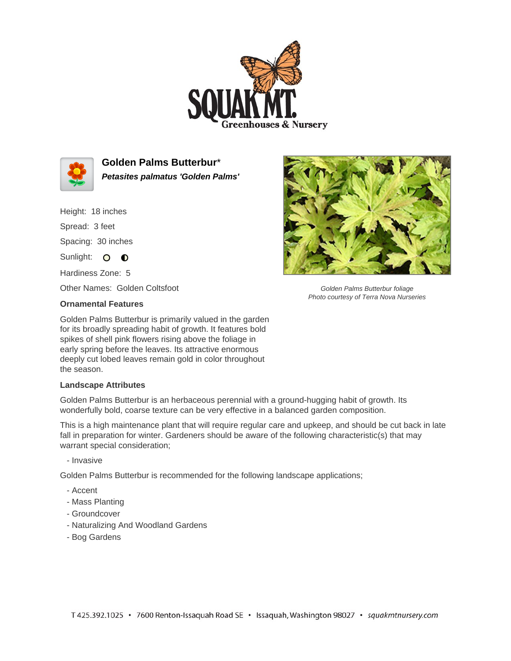



**Golden Palms Butterbur**\* **Petasites palmatus 'Golden Palms'**

Height: 18 inches

Spread: 3 feet

Spacing: 30 inches

Sunlight: O **O** 

Hardiness Zone: 5

Other Names: Golden Coltsfoot

## **Ornamental Features**

Golden Palms Butterbur is primarily valued in the garden for its broadly spreading habit of growth. It features bold spikes of shell pink flowers rising above the foliage in early spring before the leaves. Its attractive enormous deeply cut lobed leaves remain gold in color throughout the season.

## **Landscape Attributes**

Golden Palms Butterbur is an herbaceous perennial with a ground-hugging habit of growth. Its wonderfully bold, coarse texture can be very effective in a balanced garden composition.

This is a high maintenance plant that will require regular care and upkeep, and should be cut back in late fall in preparation for winter. Gardeners should be aware of the following characteristic(s) that may warrant special consideration;

- Invasive

Golden Palms Butterbur is recommended for the following landscape applications;

- Accent
- Mass Planting
- Groundcover
- Naturalizing And Woodland Gardens
- Bog Gardens



Golden Palms Butterbur foliage Photo courtesy of Terra Nova Nurseries